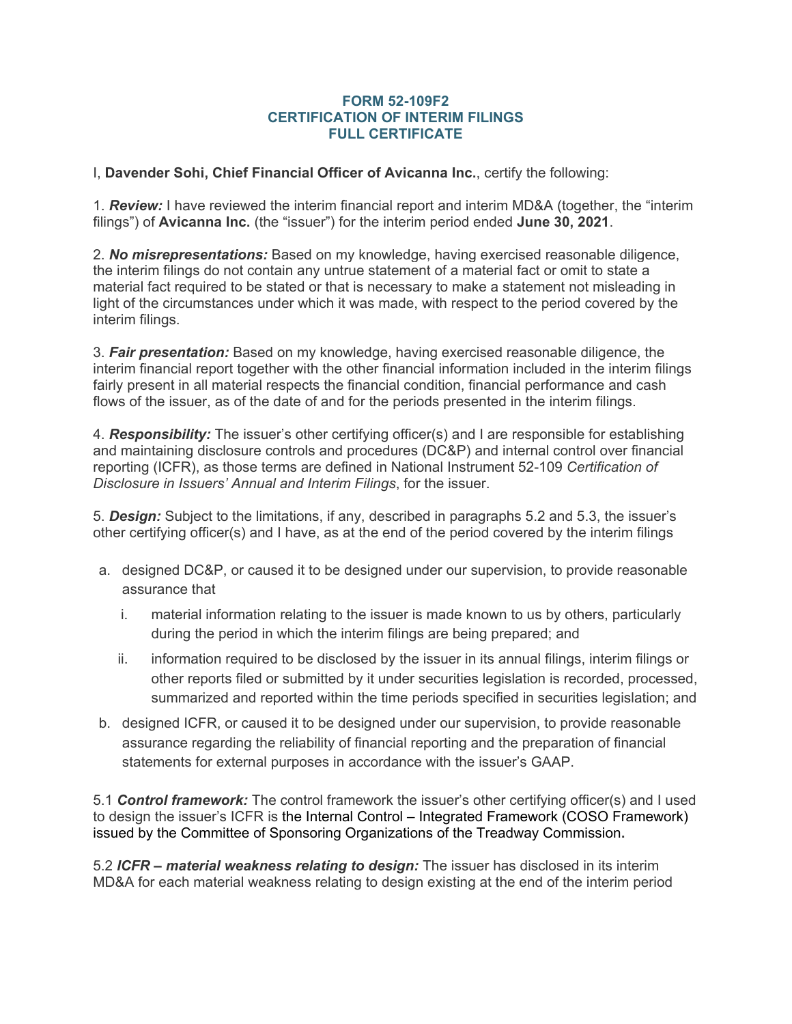## **FORM 52-109F2 CERTIFICATION OF INTERIM FILINGS FULL CERTIFICATE**

I, **Davender Sohi, Chief Financial Officer of Avicanna Inc.**, certify the following:

1. *Review:* I have reviewed the interim financial report and interim MD&A (together, the "interim filings") of **Avicanna Inc.** (the "issuer") for the interim period ended **June 30, 2021**.

2. *No misrepresentations:* Based on my knowledge, having exercised reasonable diligence, the interim filings do not contain any untrue statement of a material fact or omit to state a material fact required to be stated or that is necessary to make a statement not misleading in light of the circumstances under which it was made, with respect to the period covered by the interim filings.

3. *Fair presentation:* Based on my knowledge, having exercised reasonable diligence, the interim financial report together with the other financial information included in the interim filings fairly present in all material respects the financial condition, financial performance and cash flows of the issuer, as of the date of and for the periods presented in the interim filings.

4. *Responsibility:* The issuer's other certifying officer(s) and I are responsible for establishing and maintaining disclosure controls and procedures (DC&P) and internal control over financial reporting (ICFR), as those terms are defined in National Instrument 52-109 *Certification of Disclosure in Issuers' Annual and Interim Filings*, for the issuer.

5. *Design:* Subject to the limitations, if any, described in paragraphs 5.2 and 5.3, the issuer's other certifying officer(s) and I have, as at the end of the period covered by the interim filings

- a. designed DC&P, or caused it to be designed under our supervision, to provide reasonable assurance that
	- i. material information relating to the issuer is made known to us by others, particularly during the period in which the interim filings are being prepared; and
	- ii. information required to be disclosed by the issuer in its annual filings, interim filings or other reports filed or submitted by it under securities legislation is recorded, processed, summarized and reported within the time periods specified in securities legislation; and
- b. designed ICFR, or caused it to be designed under our supervision, to provide reasonable assurance regarding the reliability of financial reporting and the preparation of financial statements for external purposes in accordance with the issuer's GAAP.

5.1 *Control framework:* The control framework the issuer's other certifying officer(s) and I used to design the issuer's ICFR is the Internal Control – Integrated Framework (COSO Framework) issued by the Committee of Sponsoring Organizations of the Treadway Commission**.**

5.2 *ICFR – material weakness relating to design:* The issuer has disclosed in its interim MD&A for each material weakness relating to design existing at the end of the interim period